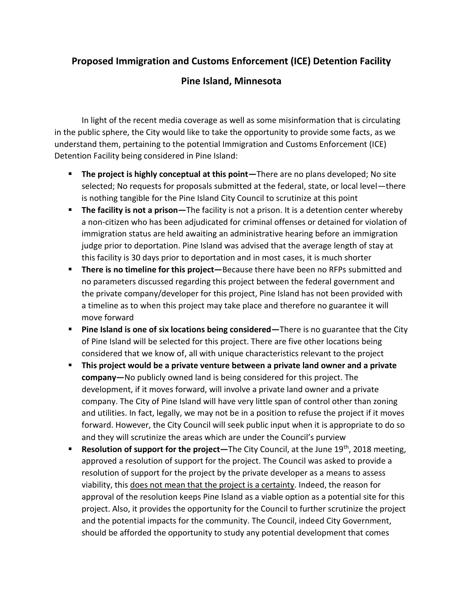## **Proposed Immigration and Customs Enforcement (ICE) Detention Facility**

## **Pine Island, Minnesota**

In light of the recent media coverage as well as some misinformation that is circulating in the public sphere, the City would like to take the opportunity to provide some facts, as we understand them, pertaining to the potential Immigration and Customs Enforcement (ICE) Detention Facility being considered in Pine Island:

- **The project is highly conceptual at this point—There are no plans developed; No site** selected; No requests for proposals submitted at the federal, state, or local level—there is nothing tangible for the Pine Island City Council to scrutinize at this point
- **The facility is not a prison**—The facility is not a prison. It is a detention center whereby a non-citizen who has been adjudicated for criminal offenses or detained for violation of immigration status are held awaiting an administrative hearing before an immigration judge prior to deportation. Pine Island was advised that the average length of stay at this facility is 30 days prior to deportation and in most cases, it is much shorter
- **There is no timeline for this project**—Because there have been no RFPs submitted and no parameters discussed regarding this project between the federal government and the private company/developer for this project, Pine Island has not been provided with a timeline as to when this project may take place and therefore no guarantee it will move forward
- **Pine Island is one of six locations being considered—There is no guarantee that the City** of Pine Island will be selected for this project. There are five other locations being considered that we know of, all with unique characteristics relevant to the project
- **E** This project would be a private venture between a private land owner and a private **company—**No publicly owned land is being considered for this project. The development, if it moves forward, will involve a private land owner and a private company. The City of Pine Island will have very little span of control other than zoning and utilities. In fact, legally, we may not be in a position to refuse the project if it moves forward. However, the City Council will seek public input when it is appropriate to do so and they will scrutinize the areas which are under the Council's purview
- **Resolution of support for the project**—The City Council, at the June 19<sup>th</sup>, 2018 meeting, approved a resolution of support for the project. The Council was asked to provide a resolution of support for the project by the private developer as a means to assess viability, this does not mean that the project is a certainty. Indeed, the reason for approval of the resolution keeps Pine Island as a viable option as a potential site for this project. Also, it provides the opportunity for the Council to further scrutinize the project and the potential impacts for the community. The Council, indeed City Government, should be afforded the opportunity to study any potential development that comes